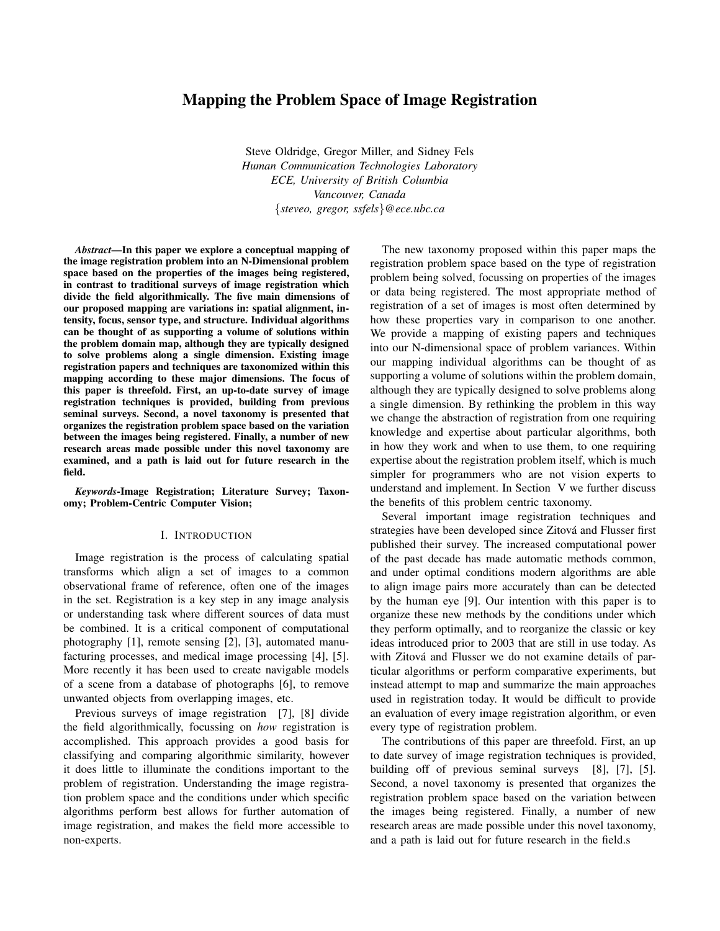# Mapping the Problem Space of Image Registration

Steve Oldridge, Gregor Miller, and Sidney Fels *Human Communication Technologies Laboratory ECE, University of British Columbia Vancouver, Canada* {*steveo, gregor, ssfels*}*@ece.ubc.ca*

*Abstract*—In this paper we explore a conceptual mapping of the image registration problem into an N-Dimensional problem space based on the properties of the images being registered, in contrast to traditional surveys of image registration which divide the field algorithmically. The five main dimensions of our proposed mapping are variations in: spatial alignment, intensity, focus, sensor type, and structure. Individual algorithms can be thought of as supporting a volume of solutions within the problem domain map, although they are typically designed to solve problems along a single dimension. Existing image registration papers and techniques are taxonomized within this mapping according to these major dimensions. The focus of this paper is threefold. First, an up-to-date survey of image registration techniques is provided, building from previous seminal surveys. Second, a novel taxonomy is presented that organizes the registration problem space based on the variation between the images being registered. Finally, a number of new research areas made possible under this novel taxonomy are examined, and a path is laid out for future research in the field.

*Keywords*-Image Registration; Literature Survey; Taxonomy; Problem-Centric Computer Vision;

#### I. INTRODUCTION

Image registration is the process of calculating spatial transforms which align a set of images to a common observational frame of reference, often one of the images in the set. Registration is a key step in any image analysis or understanding task where different sources of data must be combined. It is a critical component of computational photography [1], remote sensing [2], [3], automated manufacturing processes, and medical image processing [4], [5]. More recently it has been used to create navigable models of a scene from a database of photographs [6], to remove unwanted objects from overlapping images, etc.

Previous surveys of image registration [7], [8] divide the field algorithmically, focussing on *how* registration is accomplished. This approach provides a good basis for classifying and comparing algorithmic similarity, however it does little to illuminate the conditions important to the problem of registration. Understanding the image registration problem space and the conditions under which specific algorithms perform best allows for further automation of image registration, and makes the field more accessible to non-experts.

The new taxonomy proposed within this paper maps the registration problem space based on the type of registration problem being solved, focussing on properties of the images or data being registered. The most appropriate method of registration of a set of images is most often determined by how these properties vary in comparison to one another. We provide a mapping of existing papers and techniques into our N-dimensional space of problem variances. Within our mapping individual algorithms can be thought of as supporting a volume of solutions within the problem domain, although they are typically designed to solve problems along a single dimension. By rethinking the problem in this way we change the abstraction of registration from one requiring knowledge and expertise about particular algorithms, both in how they work and when to use them, to one requiring expertise about the registration problem itself, which is much simpler for programmers who are not vision experts to understand and implement. In Section V we further discuss the benefits of this problem centric taxonomy.

Several important image registration techniques and strategies have been developed since Zitová and Flusser first published their survey. The increased computational power of the past decade has made automatic methods common, and under optimal conditions modern algorithms are able to align image pairs more accurately than can be detected by the human eye [9]. Our intention with this paper is to organize these new methods by the conditions under which they perform optimally, and to reorganize the classic or key ideas introduced prior to 2003 that are still in use today. As with Zitová and Flusser we do not examine details of particular algorithms or perform comparative experiments, but instead attempt to map and summarize the main approaches used in registration today. It would be difficult to provide an evaluation of every image registration algorithm, or even every type of registration problem.

The contributions of this paper are threefold. First, an up to date survey of image registration techniques is provided, building off of previous seminal surveys [8], [7], [5]. Second, a novel taxonomy is presented that organizes the registration problem space based on the variation between the images being registered. Finally, a number of new research areas are made possible under this novel taxonomy, and a path is laid out for future research in the field.s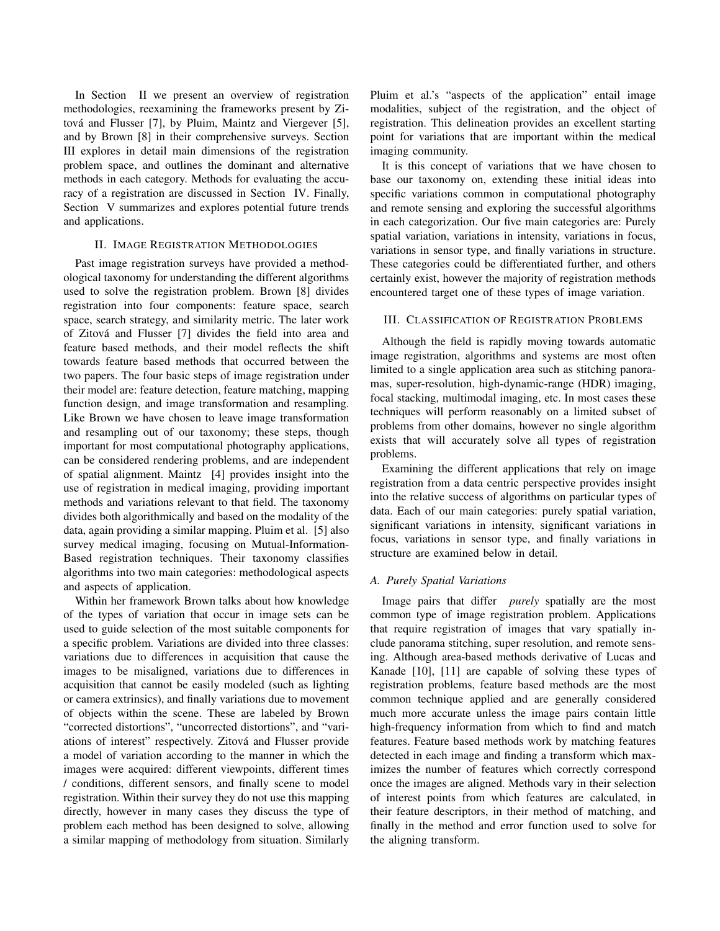In Section II we present an overview of registration methodologies, reexamining the frameworks present by Zitová and Flusser [7], by Pluim, Maintz and Viergever [5], and by Brown [8] in their comprehensive surveys. Section III explores in detail main dimensions of the registration problem space, and outlines the dominant and alternative methods in each category. Methods for evaluating the accuracy of a registration are discussed in Section IV. Finally, Section V summarizes and explores potential future trends and applications.

## II. IMAGE REGISTRATION METHODOLOGIES

Past image registration surveys have provided a methodological taxonomy for understanding the different algorithms used to solve the registration problem. Brown [8] divides registration into four components: feature space, search space, search strategy, and similarity metric. The later work of Zitová and Flusser [7] divides the field into area and feature based methods, and their model reflects the shift towards feature based methods that occurred between the two papers. The four basic steps of image registration under their model are: feature detection, feature matching, mapping function design, and image transformation and resampling. Like Brown we have chosen to leave image transformation and resampling out of our taxonomy; these steps, though important for most computational photography applications, can be considered rendering problems, and are independent of spatial alignment. Maintz [4] provides insight into the use of registration in medical imaging, providing important methods and variations relevant to that field. The taxonomy divides both algorithmically and based on the modality of the data, again providing a similar mapping. Pluim et al. [5] also survey medical imaging, focusing on Mutual-Information-Based registration techniques. Their taxonomy classifies algorithms into two main categories: methodological aspects and aspects of application.

Within her framework Brown talks about how knowledge of the types of variation that occur in image sets can be used to guide selection of the most suitable components for a specific problem. Variations are divided into three classes: variations due to differences in acquisition that cause the images to be misaligned, variations due to differences in acquisition that cannot be easily modeled (such as lighting or camera extrinsics), and finally variations due to movement of objects within the scene. These are labeled by Brown "corrected distortions", "uncorrected distortions", and "variations of interest" respectively. Zitova and Flusser provide ´ a model of variation according to the manner in which the images were acquired: different viewpoints, different times / conditions, different sensors, and finally scene to model registration. Within their survey they do not use this mapping directly, however in many cases they discuss the type of problem each method has been designed to solve, allowing a similar mapping of methodology from situation. Similarly Pluim et al.'s "aspects of the application" entail image modalities, subject of the registration, and the object of registration. This delineation provides an excellent starting point for variations that are important within the medical imaging community.

It is this concept of variations that we have chosen to base our taxonomy on, extending these initial ideas into specific variations common in computational photography and remote sensing and exploring the successful algorithms in each categorization. Our five main categories are: Purely spatial variation, variations in intensity, variations in focus, variations in sensor type, and finally variations in structure. These categories could be differentiated further, and others certainly exist, however the majority of registration methods encountered target one of these types of image variation.

## III. CLASSIFICATION OF REGISTRATION PROBLEMS

Although the field is rapidly moving towards automatic image registration, algorithms and systems are most often limited to a single application area such as stitching panoramas, super-resolution, high-dynamic-range (HDR) imaging, focal stacking, multimodal imaging, etc. In most cases these techniques will perform reasonably on a limited subset of problems from other domains, however no single algorithm exists that will accurately solve all types of registration problems.

Examining the different applications that rely on image registration from a data centric perspective provides insight into the relative success of algorithms on particular types of data. Each of our main categories: purely spatial variation, significant variations in intensity, significant variations in focus, variations in sensor type, and finally variations in structure are examined below in detail.

# *A. Purely Spatial Variations*

Image pairs that differ *purely* spatially are the most common type of image registration problem. Applications that require registration of images that vary spatially include panorama stitching, super resolution, and remote sensing. Although area-based methods derivative of Lucas and Kanade [10], [11] are capable of solving these types of registration problems, feature based methods are the most common technique applied and are generally considered much more accurate unless the image pairs contain little high-frequency information from which to find and match features. Feature based methods work by matching features detected in each image and finding a transform which maximizes the number of features which correctly correspond once the images are aligned. Methods vary in their selection of interest points from which features are calculated, in their feature descriptors, in their method of matching, and finally in the method and error function used to solve for the aligning transform.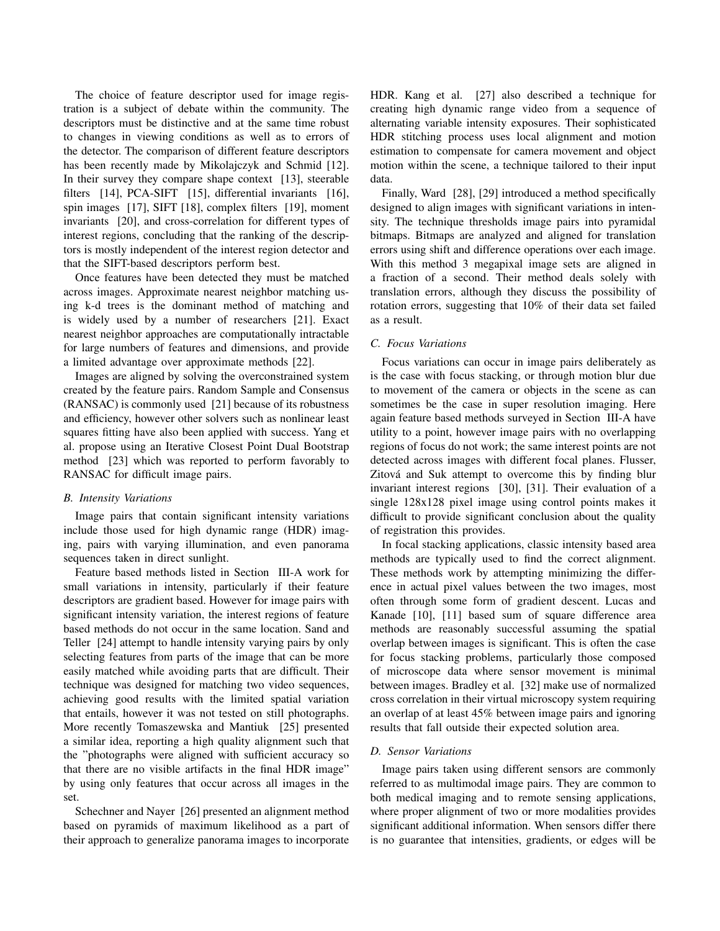The choice of feature descriptor used for image registration is a subject of debate within the community. The descriptors must be distinctive and at the same time robust to changes in viewing conditions as well as to errors of the detector. The comparison of different feature descriptors has been recently made by Mikolajczyk and Schmid [12]. In their survey they compare shape context [13], steerable filters [14], PCA-SIFT [15], differential invariants [16], spin images [17], SIFT [18], complex filters [19], moment invariants [20], and cross-correlation for different types of interest regions, concluding that the ranking of the descriptors is mostly independent of the interest region detector and that the SIFT-based descriptors perform best.

Once features have been detected they must be matched across images. Approximate nearest neighbor matching using k-d trees is the dominant method of matching and is widely used by a number of researchers [21]. Exact nearest neighbor approaches are computationally intractable for large numbers of features and dimensions, and provide a limited advantage over approximate methods [22].

Images are aligned by solving the overconstrained system created by the feature pairs. Random Sample and Consensus (RANSAC) is commonly used [21] because of its robustness and efficiency, however other solvers such as nonlinear least squares fitting have also been applied with success. Yang et al. propose using an Iterative Closest Point Dual Bootstrap method [23] which was reported to perform favorably to RANSAC for difficult image pairs.

#### *B. Intensity Variations*

Image pairs that contain significant intensity variations include those used for high dynamic range (HDR) imaging, pairs with varying illumination, and even panorama sequences taken in direct sunlight.

Feature based methods listed in Section III-A work for small variations in intensity, particularly if their feature descriptors are gradient based. However for image pairs with significant intensity variation, the interest regions of feature based methods do not occur in the same location. Sand and Teller [24] attempt to handle intensity varying pairs by only selecting features from parts of the image that can be more easily matched while avoiding parts that are difficult. Their technique was designed for matching two video sequences, achieving good results with the limited spatial variation that entails, however it was not tested on still photographs. More recently Tomaszewska and Mantiuk [25] presented a similar idea, reporting a high quality alignment such that the "photographs were aligned with sufficient accuracy so that there are no visible artifacts in the final HDR image" by using only features that occur across all images in the set.

Schechner and Nayer [26] presented an alignment method based on pyramids of maximum likelihood as a part of their approach to generalize panorama images to incorporate HDR. Kang et al. [27] also described a technique for creating high dynamic range video from a sequence of alternating variable intensity exposures. Their sophisticated HDR stitching process uses local alignment and motion estimation to compensate for camera movement and object motion within the scene, a technique tailored to their input data.

Finally, Ward [28], [29] introduced a method specifically designed to align images with significant variations in intensity. The technique thresholds image pairs into pyramidal bitmaps. Bitmaps are analyzed and aligned for translation errors using shift and difference operations over each image. With this method 3 megapixal image sets are aligned in a fraction of a second. Their method deals solely with translation errors, although they discuss the possibility of rotation errors, suggesting that 10% of their data set failed as a result.

## *C. Focus Variations*

Focus variations can occur in image pairs deliberately as is the case with focus stacking, or through motion blur due to movement of the camera or objects in the scene as can sometimes be the case in super resolution imaging. Here again feature based methods surveyed in Section III-A have utility to a point, however image pairs with no overlapping regions of focus do not work; the same interest points are not detected across images with different focal planes. Flusser, Zitová and Suk attempt to overcome this by finding blur invariant interest regions [30], [31]. Their evaluation of a single 128x128 pixel image using control points makes it difficult to provide significant conclusion about the quality of registration this provides.

In focal stacking applications, classic intensity based area methods are typically used to find the correct alignment. These methods work by attempting minimizing the difference in actual pixel values between the two images, most often through some form of gradient descent. Lucas and Kanade [10], [11] based sum of square difference area methods are reasonably successful assuming the spatial overlap between images is significant. This is often the case for focus stacking problems, particularly those composed of microscope data where sensor movement is minimal between images. Bradley et al. [32] make use of normalized cross correlation in their virtual microscopy system requiring an overlap of at least 45% between image pairs and ignoring results that fall outside their expected solution area.

## *D. Sensor Variations*

Image pairs taken using different sensors are commonly referred to as multimodal image pairs. They are common to both medical imaging and to remote sensing applications, where proper alignment of two or more modalities provides significant additional information. When sensors differ there is no guarantee that intensities, gradients, or edges will be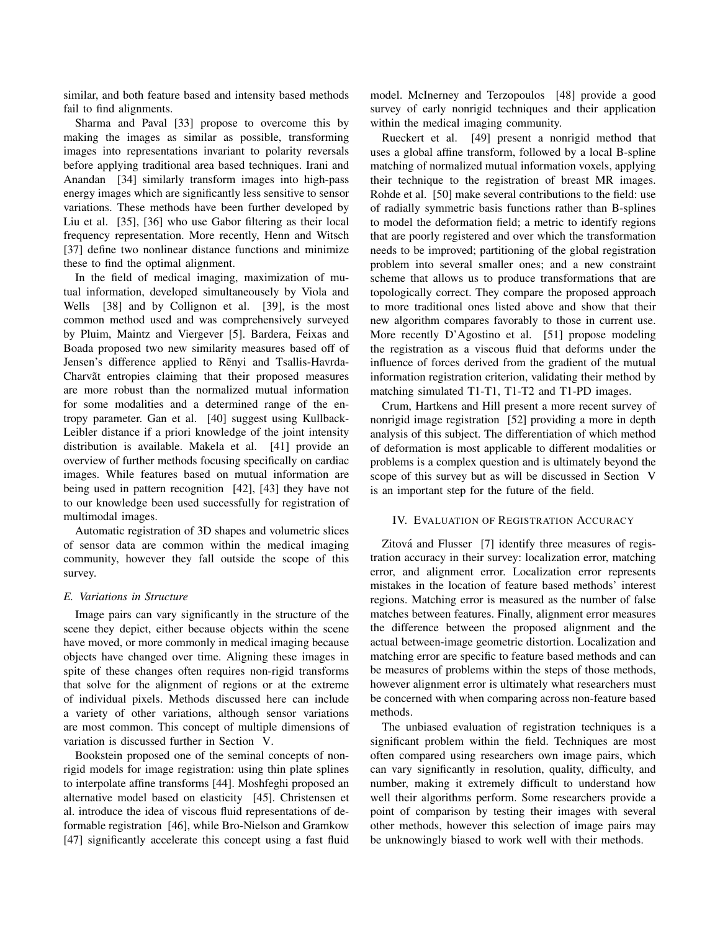similar, and both feature based and intensity based methods fail to find alignments.

Sharma and Paval [33] propose to overcome this by making the images as similar as possible, transforming images into representations invariant to polarity reversals before applying traditional area based techniques. Irani and Anandan [34] similarly transform images into high-pass energy images which are significantly less sensitive to sensor variations. These methods have been further developed by Liu et al. [35], [36] who use Gabor filtering as their local frequency representation. More recently, Henn and Witsch [37] define two nonlinear distance functions and minimize these to find the optimal alignment.

In the field of medical imaging, maximization of mutual information, developed simultaneousely by Viola and Wells [38] and by Collignon et al. [39], is the most common method used and was comprehensively surveyed by Pluim, Maintz and Viergever [5]. Bardera, Feixas and Boada proposed two new similarity measures based off of Jensen's difference applied to Renyi and Tsallis-Havrda-Charvãt entropies claiming that their proposed measures are more robust than the normalized mutual information for some modalities and a determined range of the entropy parameter. Gan et al. [40] suggest using Kullback-Leibler distance if a priori knowledge of the joint intensity distribution is available. Makela et al. [41] provide an overview of further methods focusing specifically on cardiac images. While features based on mutual information are being used in pattern recognition [42], [43] they have not to our knowledge been used successfully for registration of multimodal images.

Automatic registration of 3D shapes and volumetric slices of sensor data are common within the medical imaging community, however they fall outside the scope of this survey.

#### *E. Variations in Structure*

Image pairs can vary significantly in the structure of the scene they depict, either because objects within the scene have moved, or more commonly in medical imaging because objects have changed over time. Aligning these images in spite of these changes often requires non-rigid transforms that solve for the alignment of regions or at the extreme of individual pixels. Methods discussed here can include a variety of other variations, although sensor variations are most common. This concept of multiple dimensions of variation is discussed further in Section V.

Bookstein proposed one of the seminal concepts of nonrigid models for image registration: using thin plate splines to interpolate affine transforms [44]. Moshfeghi proposed an alternative model based on elasticity [45]. Christensen et al. introduce the idea of viscous fluid representations of deformable registration [46], while Bro-Nielson and Gramkow [47] significantly accelerate this concept using a fast fluid model. McInerney and Terzopoulos [48] provide a good survey of early nonrigid techniques and their application within the medical imaging community.

Rueckert et al. [49] present a nonrigid method that uses a global affine transform, followed by a local B-spline matching of normalized mutual information voxels, applying their technique to the registration of breast MR images. Rohde et al. [50] make several contributions to the field: use of radially symmetric basis functions rather than B-splines to model the deformation field; a metric to identify regions that are poorly registered and over which the transformation needs to be improved; partitioning of the global registration problem into several smaller ones; and a new constraint scheme that allows us to produce transformations that are topologically correct. They compare the proposed approach to more traditional ones listed above and show that their new algorithm compares favorably to those in current use. More recently D'Agostino et al. [51] propose modeling the registration as a viscous fluid that deforms under the influence of forces derived from the gradient of the mutual information registration criterion, validating their method by matching simulated T1-T1, T1-T2 and T1-PD images.

Crum, Hartkens and Hill present a more recent survey of nonrigid image registration [52] providing a more in depth analysis of this subject. The differentiation of which method of deformation is most applicable to different modalities or problems is a complex question and is ultimately beyond the scope of this survey but as will be discussed in Section V is an important step for the future of the field.

## IV. EVALUATION OF REGISTRATION ACCURACY

Zitová and Flusser [7] identify three measures of registration accuracy in their survey: localization error, matching error, and alignment error. Localization error represents mistakes in the location of feature based methods' interest regions. Matching error is measured as the number of false matches between features. Finally, alignment error measures the difference between the proposed alignment and the actual between-image geometric distortion. Localization and matching error are specific to feature based methods and can be measures of problems within the steps of those methods, however alignment error is ultimately what researchers must be concerned with when comparing across non-feature based methods.

The unbiased evaluation of registration techniques is a significant problem within the field. Techniques are most often compared using researchers own image pairs, which can vary significantly in resolution, quality, difficulty, and number, making it extremely difficult to understand how well their algorithms perform. Some researchers provide a point of comparison by testing their images with several other methods, however this selection of image pairs may be unknowingly biased to work well with their methods.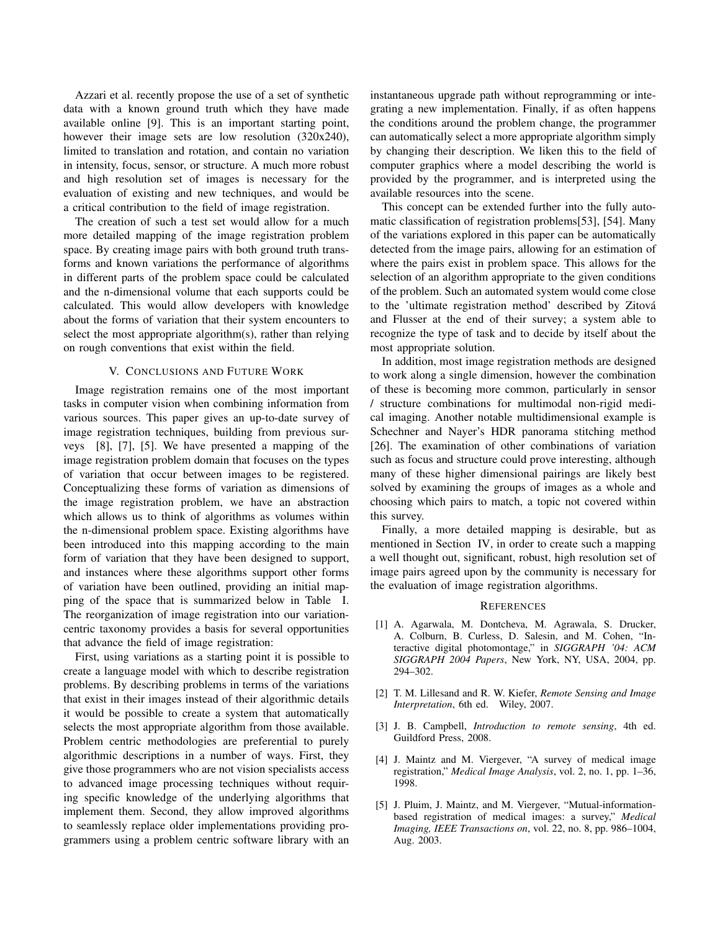Azzari et al. recently propose the use of a set of synthetic data with a known ground truth which they have made available online [9]. This is an important starting point, however their image sets are low resolution (320x240), limited to translation and rotation, and contain no variation in intensity, focus, sensor, or structure. A much more robust and high resolution set of images is necessary for the evaluation of existing and new techniques, and would be a critical contribution to the field of image registration.

The creation of such a test set would allow for a much more detailed mapping of the image registration problem space. By creating image pairs with both ground truth transforms and known variations the performance of algorithms in different parts of the problem space could be calculated and the n-dimensional volume that each supports could be calculated. This would allow developers with knowledge about the forms of variation that their system encounters to select the most appropriate algorithm(s), rather than relying on rough conventions that exist within the field.

## V. CONCLUSIONS AND FUTURE WORK

Image registration remains one of the most important tasks in computer vision when combining information from various sources. This paper gives an up-to-date survey of image registration techniques, building from previous surveys [8], [7], [5]. We have presented a mapping of the image registration problem domain that focuses on the types of variation that occur between images to be registered. Conceptualizing these forms of variation as dimensions of the image registration problem, we have an abstraction which allows us to think of algorithms as volumes within the n-dimensional problem space. Existing algorithms have been introduced into this mapping according to the main form of variation that they have been designed to support, and instances where these algorithms support other forms of variation have been outlined, providing an initial mapping of the space that is summarized below in Table I. The reorganization of image registration into our variationcentric taxonomy provides a basis for several opportunities that advance the field of image registration:

First, using variations as a starting point it is possible to create a language model with which to describe registration problems. By describing problems in terms of the variations that exist in their images instead of their algorithmic details it would be possible to create a system that automatically selects the most appropriate algorithm from those available. Problem centric methodologies are preferential to purely algorithmic descriptions in a number of ways. First, they give those programmers who are not vision specialists access to advanced image processing techniques without requiring specific knowledge of the underlying algorithms that implement them. Second, they allow improved algorithms to seamlessly replace older implementations providing programmers using a problem centric software library with an instantaneous upgrade path without reprogramming or integrating a new implementation. Finally, if as often happens the conditions around the problem change, the programmer can automatically select a more appropriate algorithm simply by changing their description. We liken this to the field of computer graphics where a model describing the world is provided by the programmer, and is interpreted using the available resources into the scene.

This concept can be extended further into the fully automatic classification of registration problems[53], [54]. Many of the variations explored in this paper can be automatically detected from the image pairs, allowing for an estimation of where the pairs exist in problem space. This allows for the selection of an algorithm appropriate to the given conditions of the problem. Such an automated system would come close to the 'ultimate registration method' described by Zitova´ and Flusser at the end of their survey; a system able to recognize the type of task and to decide by itself about the most appropriate solution.

In addition, most image registration methods are designed to work along a single dimension, however the combination of these is becoming more common, particularly in sensor / structure combinations for multimodal non-rigid medical imaging. Another notable multidimensional example is Schechner and Nayer's HDR panorama stitching method [26]. The examination of other combinations of variation such as focus and structure could prove interesting, although many of these higher dimensional pairings are likely best solved by examining the groups of images as a whole and choosing which pairs to match, a topic not covered within this survey.

Finally, a more detailed mapping is desirable, but as mentioned in Section IV, in order to create such a mapping a well thought out, significant, robust, high resolution set of image pairs agreed upon by the community is necessary for the evaluation of image registration algorithms.

## **REFERENCES**

- [1] A. Agarwala, M. Dontcheva, M. Agrawala, S. Drucker, A. Colburn, B. Curless, D. Salesin, and M. Cohen, "Interactive digital photomontage," in *SIGGRAPH '04: ACM SIGGRAPH 2004 Papers*, New York, NY, USA, 2004, pp. 294–302.
- [2] T. M. Lillesand and R. W. Kiefer, *Remote Sensing and Image Interpretation*, 6th ed. Wiley, 2007.
- [3] J. B. Campbell, *Introduction to remote sensing*, 4th ed. Guildford Press, 2008.
- [4] J. Maintz and M. Viergever, "A survey of medical image registration," *Medical Image Analysis*, vol. 2, no. 1, pp. 1–36, 1998.
- [5] J. Pluim, J. Maintz, and M. Viergever, "Mutual-informationbased registration of medical images: a survey," *Medical Imaging, IEEE Transactions on*, vol. 22, no. 8, pp. 986–1004, Aug. 2003.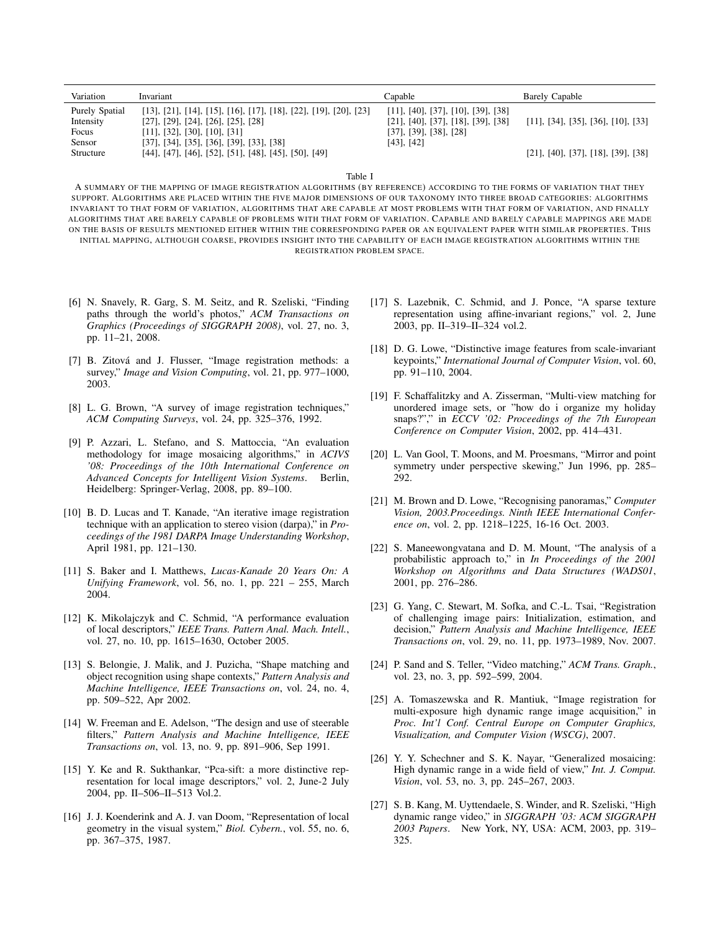| Variation      | Invariant                                                                                        | Capable                               | Barely Capable                                      |
|----------------|--------------------------------------------------------------------------------------------------|---------------------------------------|-----------------------------------------------------|
| Purely Spatial | $[13]$ , $[21]$ , $[14]$ , $[15]$ , $[16]$ , $[17]$ , $[18]$ , $[22]$ , $[19]$ , $[20]$ , $[23]$ | $[11]$ , [40], [37], [10], [39], [38] | $[11]$ , [34], [35], [36], [10], [33]               |
| Intensity      | $[27]$ , $[29]$ , $[24]$ , $[26]$ , $[25]$ , $[28]$                                              | $[21]$ , [40], [37], [18], [39], [38] |                                                     |
| Focus          | [11], [32], [30], [10], [31]                                                                     | $[37]$ , $[39]$ , $[38]$ , $[28]$     |                                                     |
| Sensor         | $[37]$ , $[34]$ , $[35]$ , $[36]$ , $[39]$ , $[33]$ , $[38]$                                     | $[43]$ , $[42]$                       |                                                     |
| Structure      | $[44]$ , [47], [46], [52], [51], [48], [45], [50], [49]                                          |                                       | $[21]$ , $[40]$ , $[37]$ , $[18]$ , $[39]$ , $[38]$ |

Table I

A SUMMARY OF THE MAPPING OF IMAGE REGISTRATION ALGORITHMS (BY REFERENCE) ACCORDING TO THE FORMS OF VARIATION THAT THEY SUPPORT. ALGORITHMS ARE PLACED WITHIN THE FIVE MAJOR DIMENSIONS OF OUR TAXONOMY INTO THREE BROAD CATEGORIES: ALGORITHMS INVARIANT TO THAT FORM OF VARIATION, ALGORITHMS THAT ARE CAPABLE AT MOST PROBLEMS WITH THAT FORM OF VARIATION, AND FINALLY ALGORITHMS THAT ARE BARELY CAPABLE OF PROBLEMS WITH THAT FORM OF VARIATION. CAPABLE AND BARELY CAPABLE MAPPINGS ARE MADE ON THE BASIS OF RESULTS MENTIONED EITHER WITHIN THE CORRESPONDING PAPER OR AN EQUIVALENT PAPER WITH SIMILAR PROPERTIES. THIS INITIAL MAPPING, ALTHOUGH COARSE, PROVIDES INSIGHT INTO THE CAPABILITY OF EACH IMAGE REGISTRATION ALGORITHMS WITHIN THE REGISTRATION PROBLEM SPACE.

- [6] N. Snavely, R. Garg, S. M. Seitz, and R. Szeliski, "Finding paths through the world's photos," *ACM Transactions on Graphics (Proceedings of SIGGRAPH 2008)*, vol. 27, no. 3, pp. 11–21, 2008.
- [7] B. Zitová and J. Flusser, "Image registration methods: a survey," *Image and Vision Computing*, vol. 21, pp. 977–1000, 2003.
- [8] L. G. Brown, "A survey of image registration techniques," *ACM Computing Surveys*, vol. 24, pp. 325–376, 1992.
- [9] P. Azzari, L. Stefano, and S. Mattoccia, "An evaluation methodology for image mosaicing algorithms," in *ACIVS '08: Proceedings of the 10th International Conference on Advanced Concepts for Intelligent Vision Systems*. Berlin, Heidelberg: Springer-Verlag, 2008, pp. 89–100.
- [10] B. D. Lucas and T. Kanade, "An iterative image registration technique with an application to stereo vision (darpa)," in *Proceedings of the 1981 DARPA Image Understanding Workshop*, April 1981, pp. 121–130.
- [11] S. Baker and I. Matthews, *Lucas-Kanade 20 Years On: A Unifying Framework*, vol. 56, no. 1, pp. 221 – 255, March 2004.
- [12] K. Mikolajczyk and C. Schmid, "A performance evaluation of local descriptors," *IEEE Trans. Pattern Anal. Mach. Intell.*, vol. 27, no. 10, pp. 1615–1630, October 2005.
- [13] S. Belongie, J. Malik, and J. Puzicha, "Shape matching and object recognition using shape contexts," *Pattern Analysis and Machine Intelligence, IEEE Transactions on*, vol. 24, no. 4, pp. 509–522, Apr 2002.
- [14] W. Freeman and E. Adelson, "The design and use of steerable filters," *Pattern Analysis and Machine Intelligence, IEEE Transactions on*, vol. 13, no. 9, pp. 891–906, Sep 1991.
- [15] Y. Ke and R. Sukthankar, "Pca-sift: a more distinctive representation for local image descriptors," vol. 2, June-2 July 2004, pp. II–506–II–513 Vol.2.
- [16] J. J. Koenderink and A. J. van Doom, "Representation of local geometry in the visual system," *Biol. Cybern.*, vol. 55, no. 6, pp. 367–375, 1987.
- [17] S. Lazebnik, C. Schmid, and J. Ponce, "A sparse texture representation using affine-invariant regions," vol. 2, June 2003, pp. II–319–II–324 vol.2.
- [18] D. G. Lowe, "Distinctive image features from scale-invariant keypoints," *International Journal of Computer Vision*, vol. 60, pp. 91–110, 2004.
- [19] F. Schaffalitzky and A. Zisserman, "Multi-view matching for unordered image sets, or "how do i organize my holiday snaps?"," in *ECCV '02: Proceedings of the 7th European Conference on Computer Vision*, 2002, pp. 414–431.
- [20] L. Van Gool, T. Moons, and M. Proesmans, "Mirror and point symmetry under perspective skewing," Jun 1996, pp. 285– 292.
- [21] M. Brown and D. Lowe, "Recognising panoramas," *Computer Vision, 2003.Proceedings. Ninth IEEE International Conference on*, vol. 2, pp. 1218–1225, 16-16 Oct. 2003.
- [22] S. Maneewongvatana and D. M. Mount, "The analysis of a probabilistic approach to," in *In Proceedings of the 2001 Workshop on Algorithms and Data Structures (WADS01*, 2001, pp. 276–286.
- [23] G. Yang, C. Stewart, M. Sofka, and C.-L. Tsai, "Registration of challenging image pairs: Initialization, estimation, and decision," *Pattern Analysis and Machine Intelligence, IEEE Transactions on*, vol. 29, no. 11, pp. 1973–1989, Nov. 2007.
- [24] P. Sand and S. Teller, "Video matching," *ACM Trans. Graph.*, vol. 23, no. 3, pp. 592–599, 2004.
- [25] A. Tomaszewska and R. Mantiuk, "Image registration for multi-exposure high dynamic range image acquisition," in *Proc. Int'l Conf. Central Europe on Computer Graphics, Visualization, and Computer Vision (WSCG)*, 2007.
- [26] Y. Y. Schechner and S. K. Nayar, "Generalized mosaicing: High dynamic range in a wide field of view," *Int. J. Comput. Vision*, vol. 53, no. 3, pp. 245–267, 2003.
- [27] S. B. Kang, M. Uyttendaele, S. Winder, and R. Szeliski, "High dynamic range video," in *SIGGRAPH '03: ACM SIGGRAPH 2003 Papers*. New York, NY, USA: ACM, 2003, pp. 319– 325.